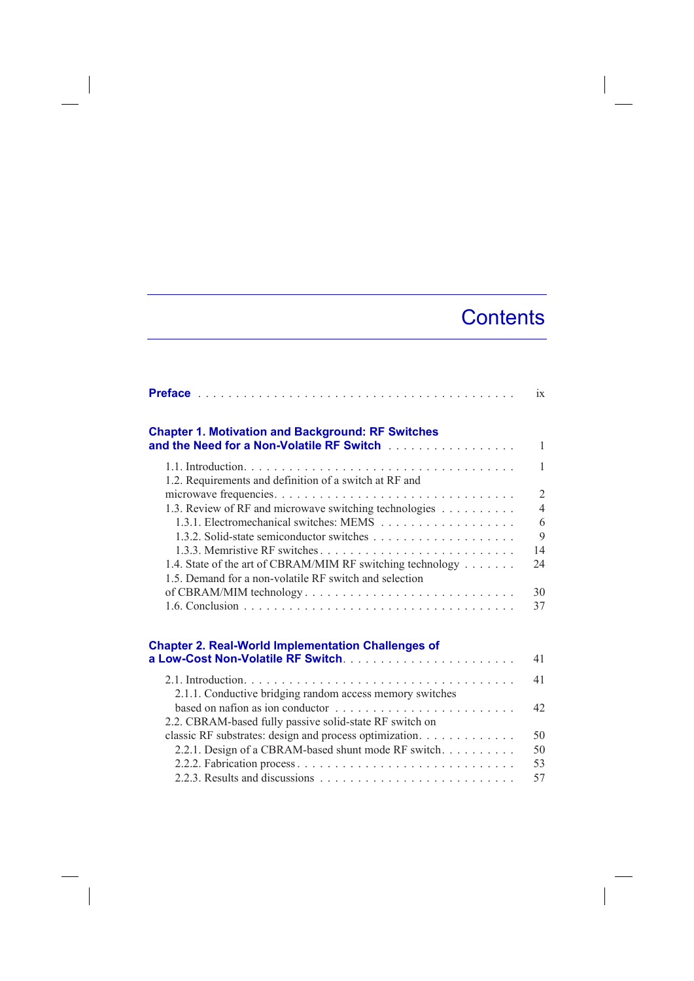## **Contents**

|                                                                                                                                                                                                                                                                                           | ix             |
|-------------------------------------------------------------------------------------------------------------------------------------------------------------------------------------------------------------------------------------------------------------------------------------------|----------------|
| <b>Chapter 1. Motivation and Background: RF Switches</b><br>and the Need for a Non-Volatile RF Switch [11] [11] And the Need for a Non-Volatile RF Switch [11] [11] And the Need for a Non-Volatile RF Switch [11] [11] And the Need for a New York Regular Management Regular Management | $\mathbf{1}$   |
| 1.2. Requirements and definition of a switch at RF and                                                                                                                                                                                                                                    | $\mathbf{1}$   |
|                                                                                                                                                                                                                                                                                           | $\overline{2}$ |
| 1.3. Review of RF and microwave switching technologies                                                                                                                                                                                                                                    | $\overline{4}$ |
|                                                                                                                                                                                                                                                                                           | 6              |
|                                                                                                                                                                                                                                                                                           | 9              |
|                                                                                                                                                                                                                                                                                           | 14             |
| 1.4. State of the art of CBRAM/MIM RF switching technology<br>1.5. Demand for a non-volatile RF switch and selection                                                                                                                                                                      | 24             |
| of CBRAM/MIM technology                                                                                                                                                                                                                                                                   | 30             |
|                                                                                                                                                                                                                                                                                           | 37             |
| <b>Chapter 2. Real-World Implementation Challenges of</b>                                                                                                                                                                                                                                 |                |
|                                                                                                                                                                                                                                                                                           | 41             |
|                                                                                                                                                                                                                                                                                           | 41             |
| 2.1.1. Conductive bridging random access memory switches                                                                                                                                                                                                                                  |                |
| based on nation as ion conductor $\ldots \ldots \ldots \ldots \ldots \ldots \ldots$                                                                                                                                                                                                       | 42             |
| 2.2. CBRAM-based fully passive solid-state RF switch on                                                                                                                                                                                                                                   |                |
| classic RF substrates: design and process optimization.                                                                                                                                                                                                                                   | 50             |
| 2.2.1. Design of a CBRAM-based shunt mode RF switch.                                                                                                                                                                                                                                      | 50             |
|                                                                                                                                                                                                                                                                                           | 53             |
|                                                                                                                                                                                                                                                                                           | 57             |

 $\overline{\phantom{a}}$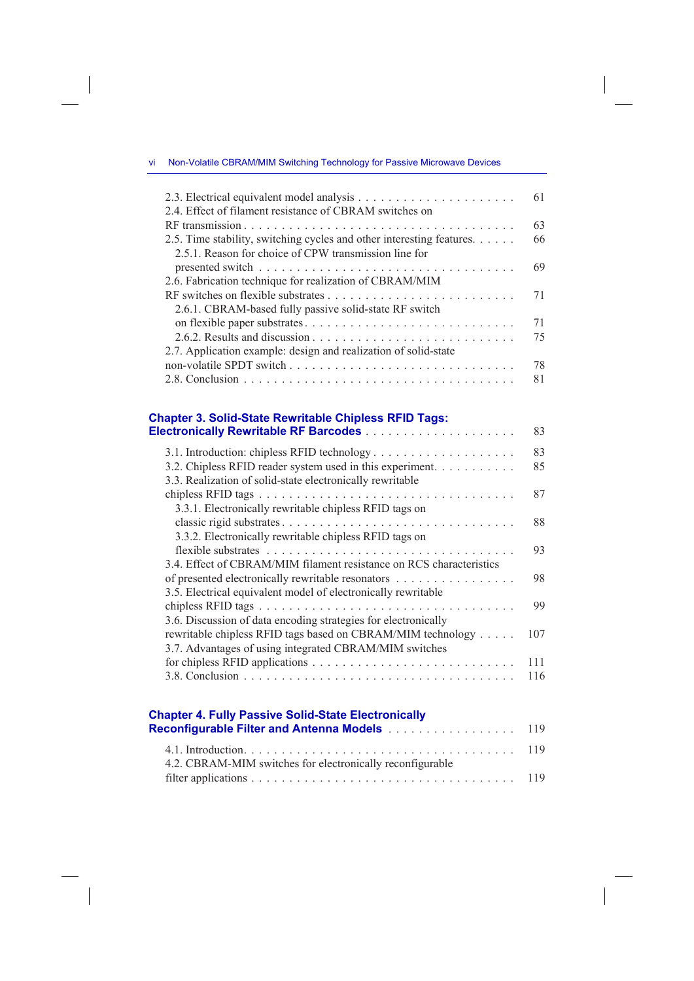vi Non-Volatile CBRAM/MIM Switching Technology for Passive Microwave Devices

## **Chapter 3. Solid-State Rewritable Chipless RFID Tags: Electronically Rewritable RF Barcodes** . . . . . . . . . . . . . . . . . . . . 83

|                                                                                                                        | 83  |
|------------------------------------------------------------------------------------------------------------------------|-----|
| 3.2. Chipless RFID reader system used in this experiment.<br>3.3. Realization of solid-state electronically rewritable | 85  |
|                                                                                                                        | 87  |
| 3.3.1. Electronically rewritable chipless RFID tags on                                                                 |     |
|                                                                                                                        | 88  |
| 3.3.2. Electronically rewritable chipless RFID tags on                                                                 |     |
|                                                                                                                        | 93  |
| 3.4. Effect of CBRAM/MIM filament resistance on RCS characteristics                                                    |     |
| of presented electronically rewritable resonators                                                                      | 98  |
| 3.5. Electrical equivalent model of electronically rewritable                                                          |     |
|                                                                                                                        | 99  |
| 3.6. Discussion of data encoding strategies for electronically                                                         |     |
| rewritable chipless RFID tags based on CBRAM/MIM technology                                                            | 107 |
| 3.7. Advantages of using integrated CBRAM/MIM switches                                                                 |     |
|                                                                                                                        | 111 |
|                                                                                                                        | 116 |
|                                                                                                                        |     |
|                                                                                                                        |     |
| <b>Chapter 4. Fully Passive Solid-State Electronically</b>                                                             |     |
| Reconfigurable Filter and Antenna Models                                                                               | 119 |

| 4.2. CBRAM-MIM switches for electronically reconfigurable |  |
|-----------------------------------------------------------|--|
|                                                           |  |

 $\overline{\phantom{a}}$